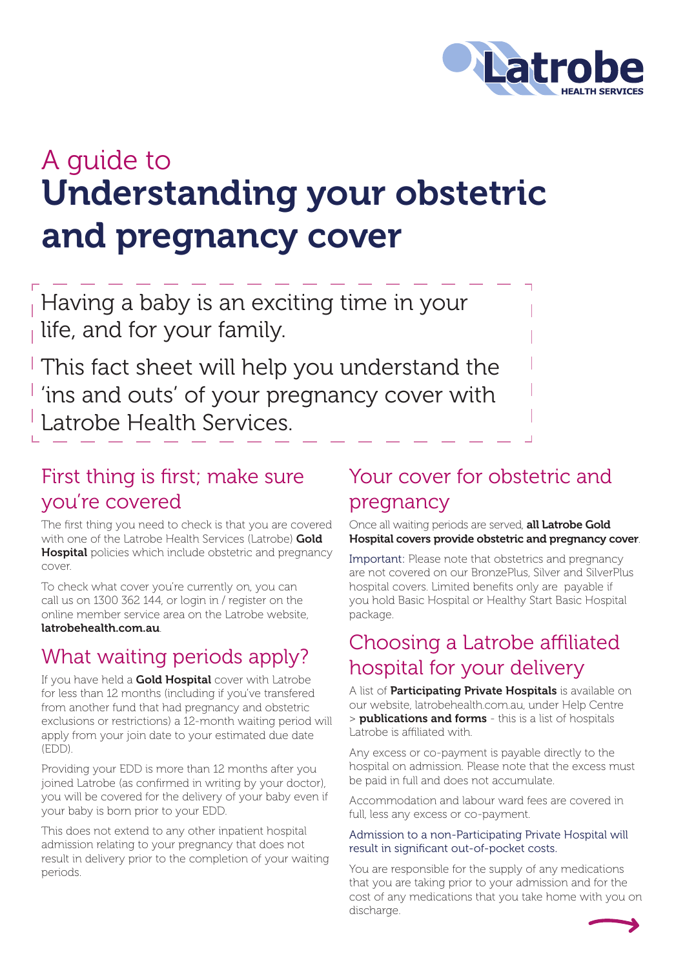

# Understanding your obstetric and pregnancy cover A guide to

Having a baby is an exciting time in your life, and for your family.

This fact sheet will help you understand the 'ins and outs' of your pregnancy cover with Latrobe Health Services.

### First thing is first; make sure you're covered

The first thing you need to check is that you are covered with one of the Latrobe Health Services (Latrobe) Gold **Hospital** policies which include obstetric and pregnancy cover.

To check what cover you're currently on, you can call us on 1300 362 144, or login in / register on the online member service area on the Latrobe website, latrobehealth.com.au.

### What waiting periods apply?

If you have held a Gold Hospital cover with Latrobe for less than 12 months (including if you've transfered from another fund that had pregnancy and obstetric exclusions or restrictions) a 12-month waiting period will apply from your join date to your estimated due date (EDD).

Providing your EDD is more than 12 months after you joined Latrobe (as confirmed in writing by your doctor), you will be covered for the delivery of your baby even if your baby is born prior to your EDD.

This does not extend to any other inpatient hospital admission relating to your pregnancy that does not result in delivery prior to the completion of your waiting periods.

### Your cover for obstetric and pregnancy

Once all waiting periods are served, all Latrobe Gold Hospital covers provide obstetric and pregnancy cover.

Important: Please note that obstetrics and pregnancy are not covered on our BronzePlus, Silver and SilverPlus hospital covers. Limited benefits only are payable if you hold Basic Hospital or Healthy Start Basic Hospital package.

### Choosing a Latrobe affiliated hospital for your delivery

A list of **Participating Private Hospitals** is available on our website, latrobehealth.com.au, under Help Centre > **publications and forms** - this is a list of hospitals Latrobe is affiliated with.

Any excess or co-payment is payable directly to the hospital on admission. Please note that the excess must be paid in full and does not accumulate.

Accommodation and labour ward fees are covered in full, less any excess or co-payment.

#### Admission to a non-Participating Private Hospital will result in significant out-of-pocket costs.

You are responsible for the supply of any medications that you are taking prior to your admission and for the cost of any medications that you take home with you on discharge.